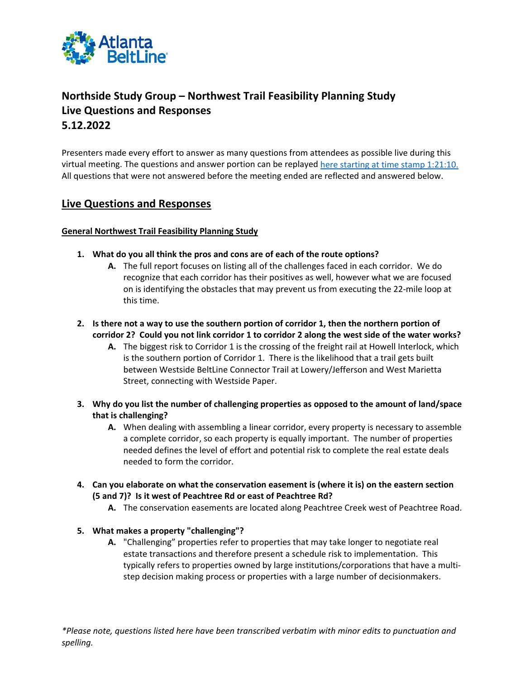

# **Northside Study Group – Northwest Trail Feasibility Planning Study Live Questions and Responses 5.12.2022**

Presenters made every effort to answer as many questions from attendees as possible live during this virtual meeting. The questions and answer portion can be replayed [here starting at time stamp 1:21:10.](https://www.facebook.com/watch/live/?ref=watch_permalink&v=983286809222290)  All questions that were not answered before the meeting ended are reflected and answered below.

# **Live Questions and Responses**

# **General Northwest Trail Feasibility Planning Study**

- **1. What do you all think the pros and cons are of each of the route options?**
	- **A.** The full report focuses on listing all of the challenges faced in each corridor. We do recognize that each corridor has their positives as well, however what we are focused on is identifying the obstacles that may prevent us from executing the 22-mile loop at this time.
- **2. Is there not a way to use the southern portion of corridor 1, then the northern portion of corridor 2? Could you not link corridor 1 to corridor 2 along the west side of the water works?**
	- **A.** The biggest risk to Corridor 1 is the crossing of the freight rail at Howell Interlock, which is the southern portion of Corridor 1. There is the likelihood that a trail gets built between Westside BeltLine Connector Trail at Lowery/Jefferson and West Marietta Street, connecting with Westside Paper.
- **3. Why do you list the number of challenging properties as opposed to the amount of land/space that is challenging?**
	- **A.** When dealing with assembling a linear corridor, every property is necessary to assemble a complete corridor, so each property is equally important. The number of properties needed defines the level of effort and potential risk to complete the real estate deals needed to form the corridor.
- **4. Can you elaborate on what the conservation easement is (where it is) on the eastern section (5 and 7)? Is it west of Peachtree Rd or east of Peachtree Rd?**
	- **A.** The conservation easements are located along Peachtree Creek west of Peachtree Road.

## **5. What makes a property "challenging"?**

**A.** "Challenging" properties refer to properties that may take longer to negotiate real estate transactions and therefore present a schedule risk to implementation. This typically refers to properties owned by large institutions/corporations that have a multistep decision making process or properties with a large number of decisionmakers.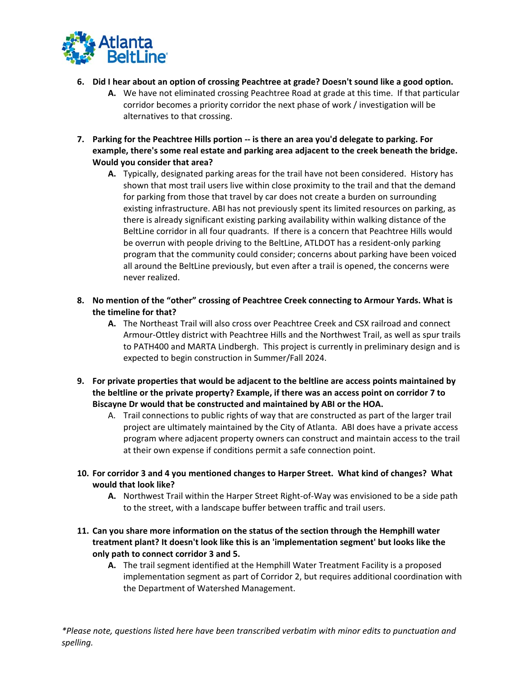

- **6. Did I hear about an option of crossing Peachtree at grade? Doesn't sound like a good option.**
	- **A.** We have not eliminated crossing Peachtree Road at grade at this time. If that particular corridor becomes a priority corridor the next phase of work / investigation will be alternatives to that crossing.
- **7. Parking for the Peachtree Hills portion -- is there an area you'd delegate to parking. For example, there's some real estate and parking area adjacent to the creek beneath the bridge. Would you consider that area?**
	- **A.** Typically, designated parking areas for the trail have not been considered. History has shown that most trail users live within close proximity to the trail and that the demand for parking from those that travel by car does not create a burden on surrounding existing infrastructure. ABI has not previously spent its limited resources on parking, as there is already significant existing parking availability within walking distance of the BeltLine corridor in all four quadrants. If there is a concern that Peachtree Hills would be overrun with people driving to the BeltLine, ATLDOT has a resident-only parking program that the community could consider; concerns about parking have been voiced all around the BeltLine previously, but even after a trail is opened, the concerns were never realized.
- **8. No mention of the "other" crossing of Peachtree Creek connecting to Armour Yards. What is the timeline for that?**
	- **A.** The Northeast Trail will also cross over Peachtree Creek and CSX railroad and connect Armour-Ottley district with Peachtree Hills and the Northwest Trail, as well as spur trails to PATH400 and MARTA Lindbergh. This project is currently in preliminary design and is expected to begin construction in Summer/Fall 2024.
- **9. For private properties that would be adjacent to the beltline are access points maintained by the beltline or the private property? Example, if there was an access point on corridor 7 to Biscayne Dr would that be constructed and maintained by ABI or the HOA.**
	- A. Trail connections to public rights of way that are constructed as part of the larger trail project are ultimately maintained by the City of Atlanta. ABI does have a private access program where adjacent property owners can construct and maintain access to the trail at their own expense if conditions permit a safe connection point.
- **10. For corridor 3 and 4 you mentioned changes to Harper Street. What kind of changes? What would that look like?**
	- **A.** Northwest Trail within the Harper Street Right-of-Way was envisioned to be a side path to the street, with a landscape buffer between traffic and trail users.
- **11. Can you share more information on the status of the section through the Hemphill water treatment plant? It doesn't look like this is an 'implementation segment' but looks like the only path to connect corridor 3 and 5.**
	- **A.** The trail segment identified at the Hemphill Water Treatment Facility is a proposed implementation segment as part of Corridor 2, but requires additional coordination with the Department of Watershed Management.

*\*Please note, questions listed here have been transcribed verbatim with minor edits to punctuation and spelling.*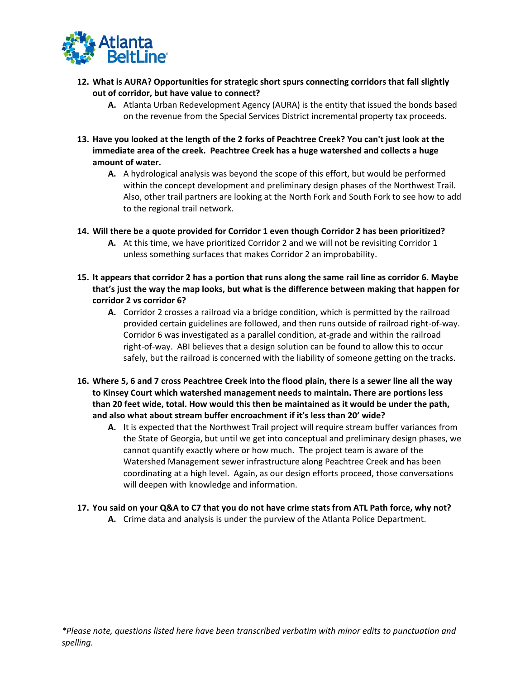

- **12. What is AURA? Opportunities for strategic short spurs connecting corridors that fall slightly out of corridor, but have value to connect?**
	- **A.** Atlanta Urban Redevelopment Agency (AURA) is the entity that issued the bonds based on the revenue from the Special Services District incremental property tax proceeds.
- **13. Have you looked at the length of the 2 forks of Peachtree Creek? You can't just look at the immediate area of the creek. Peachtree Creek has a huge watershed and collects a huge amount of water.**
	- **A.** A hydrological analysis was beyond the scope of this effort, but would be performed within the concept development and preliminary design phases of the Northwest Trail. Also, other trail partners are looking at the North Fork and South Fork to see how to add to the regional trail network.
- **14. Will there be a quote provided for Corridor 1 even though Corridor 2 has been prioritized?**
	- **A.** At this time, we have prioritized Corridor 2 and we will not be revisiting Corridor 1 unless something surfaces that makes Corridor 2 an improbability.
- **15. It appears that corridor 2 has a portion that runs along the same rail line as corridor 6. Maybe that's just the way the map looks, but what is the difference between making that happen for corridor 2 vs corridor 6?**
	- **A.** Corridor 2 crosses a railroad via a bridge condition, which is permitted by the railroad provided certain guidelines are followed, and then runs outside of railroad right-of-way. Corridor 6 was investigated as a parallel condition, at-grade and within the railroad right-of-way. ABI believes that a design solution can be found to allow this to occur safely, but the railroad is concerned with the liability of someone getting on the tracks.
- **16. Where 5, 6 and 7 cross Peachtree Creek into the flood plain, there is a sewer line all the way to Kinsey Court which watershed management needs to maintain. There are portions less than 20 feet wide, total. How would this then be maintained as it would be under the path, and also what about stream buffer encroachment if it's less than 20' wide?**
	- **A.** It is expected that the Northwest Trail project will require stream buffer variances from the State of Georgia, but until we get into conceptual and preliminary design phases, we cannot quantify exactly where or how much. The project team is aware of the Watershed Management sewer infrastructure along Peachtree Creek and has been coordinating at a high level. Again, as our design efforts proceed, those conversations will deepen with knowledge and information.
- **17. You said on your Q&A to C7 that you do not have crime stats from ATL Path force, why not?**
	- **A.** Crime data and analysis is under the purview of the Atlanta Police Department.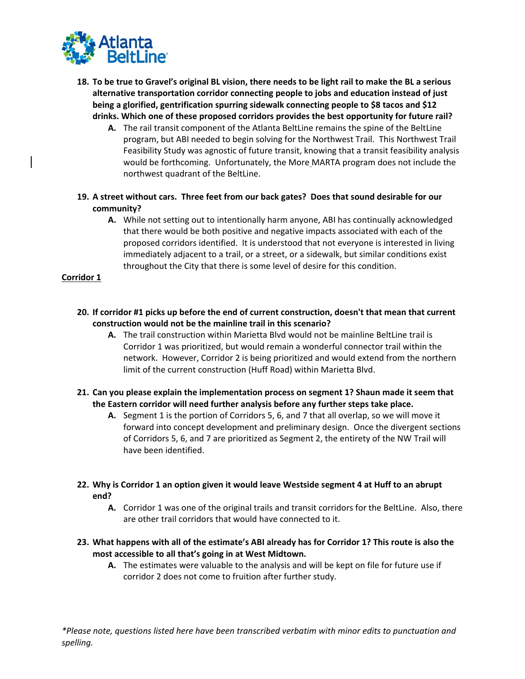

- **18. To be true to Gravel's original BL vision, there needs to be light rail to make the BL a serious alternative transportation corridor connecting people to jobs and education instead of just being a glorified, gentrification spurring sidewalk connecting people to \$8 tacos and \$12 drinks. Which one of these proposed corridors provides the best opportunity for future rail?**
	- **A.** The rail transit component of the Atlanta BeltLine remains the spine of the BeltLine program, but ABI needed to begin solving for the Northwest Trail. This Northwest Trail Feasibility Study was agnostic of future transit, knowing that a transit feasibility analysis would be forthcoming. Unfortunately, the More MARTA program does not include the northwest quadrant of the BeltLine.
- **19. A street without cars. Three feet from our back gates? Does that sound desirable for our community?**
	- **A.** While not setting out to intentionally harm anyone, ABI has continually acknowledged that there would be both positive and negative impacts associated with each of the proposed corridors identified. It is understood that not everyone is interested in living immediately adjacent to a trail, or a street, or a sidewalk, but similar conditions exist throughout the City that there is some level of desire for this condition.

## **Corridor 1**

- **20. If corridor #1 picks up before the end of current construction, doesn't that mean that current construction would not be the mainline trail in this scenario?**
	- **A.** The trail construction within Marietta Blvd would not be mainline BeltLine trail is Corridor 1 was prioritized, but would remain a wonderful connector trail within the network. However, Corridor 2 is being prioritized and would extend from the northern limit of the current construction (Huff Road) within Marietta Blvd.
- **21. Can you please explain the implementation process on segment 1? Shaun made it seem that the Eastern corridor will need further analysis before any further steps take place.**
	- **A.** Segment 1 is the portion of Corridors 5, 6, and 7 that all overlap, so we will move it forward into concept development and preliminary design. Once the divergent sections of Corridors 5, 6, and 7 are prioritized as Segment 2, the entirety of the NW Trail will have been identified.
- **22. Why is Corridor 1 an option given it would leave Westside segment 4 at Huff to an abrupt end?**
	- **A.** Corridor 1 was one of the original trails and transit corridors for the BeltLine. Also, there are other trail corridors that would have connected to it.
- **23. What happens with all of the estimate's ABI already has for Corridor 1? This route is also the most accessible to all that's going in at West Midtown.**
	- **A.** The estimates were valuable to the analysis and will be kept on file for future use if corridor 2 does not come to fruition after further study.

*\*Please note, questions listed here have been transcribed verbatim with minor edits to punctuation and spelling.*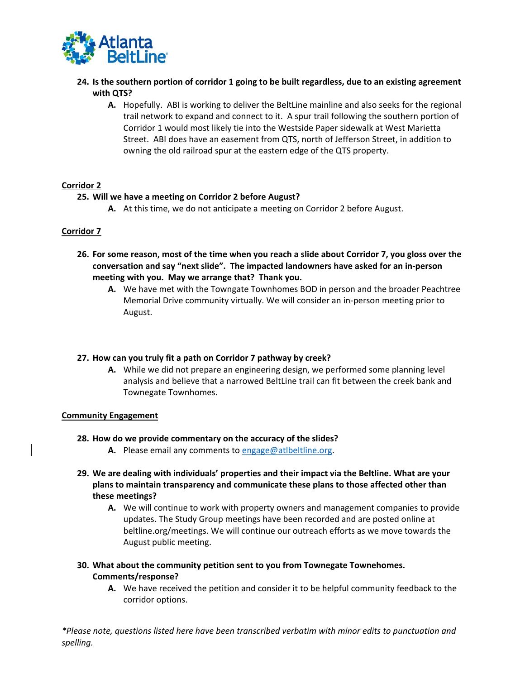

- **24. Is the southern portion of corridor 1 going to be built regardless, due to an existing agreement with QTS?**
	- **A.** Hopefully. ABI is working to deliver the BeltLine mainline and also seeks for the regional trail network to expand and connect to it. A spur trail following the southern portion of Corridor 1 would most likely tie into the Westside Paper sidewalk at West Marietta Street. ABI does have an easement from QTS, north of Jefferson Street, in addition to owning the old railroad spur at the eastern edge of the QTS property.

## **Corridor 2**

# **25. Will we have a meeting on Corridor 2 before August?**

**A.** At this time, we do not anticipate a meeting on Corridor 2 before August.

# **Corridor 7**

- **26. For some reason, most of the time when you reach a slide about Corridor 7, you gloss over the conversation and say "next slide". The impacted landowners have asked for an in-person meeting with you. May we arrange that? Thank you.**
	- **A.** We have met with the Towngate Townhomes BOD in person and the broader Peachtree Memorial Drive community virtually. We will consider an in-person meeting prior to August.

## **27. How can you truly fit a path on Corridor 7 pathway by creek?**

**A.** While we did not prepare an engineering design, we performed some planning level analysis and believe that a narrowed BeltLine trail can fit between the creek bank and Townegate Townhomes.

## **Community Engagement**

- **28. How do we provide commentary on the accuracy of the slides?**
	- **A.** Please email any comments to [engage@atlbeltline.org.](mailto:engage@atlbeltline.org)
- **29. We are dealing with individuals' properties and their impact via the Beltline. What are your plans to maintain transparency and communicate these plans to those affected other than these meetings?**
	- **A.** We will continue to work with property owners and management companies to provide updates. The Study Group meetings have been recorded and are posted online at beltline.org/meetings. We will continue our outreach efforts as we move towards the August public meeting.

# **30. What about the community petition sent to you from Townegate Townehomes. Comments/response?**

**A.** We have received the petition and consider it to be helpful community feedback to the corridor options.

*\*Please note, questions listed here have been transcribed verbatim with minor edits to punctuation and spelling.*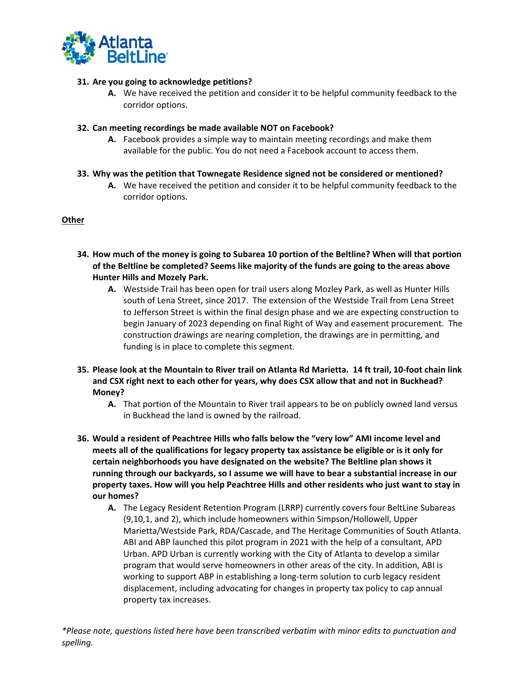

# **31. Are you going to acknowledge petitions?**

**A.** We have received the petition and consider it to be helpful community feedback to the corridor options.

## **32. Can meeting recordings be made available NOT on Facebook?**

- **A.** Facebook provides a simple way to maintain meeting recordings and make them available for the public. You do not need a Facebook account to access them.
- **33. Why was the petition that Townegate Residence signed not be considered or mentioned?**
	- **A.** We have received the petition and consider it to be helpful community feedback to the corridor options.

#### **Other**

- **34. How much of the money is going to Subarea 10 portion of the Beltline? When will that portion of the Beltline be completed? Seems like majority of the funds are going to the areas above Hunter Hills and Mozely Park.**
	- **A.** Westside Trail has been open for trail users along Mozley Park, as well as Hunter Hills south of Lena Street, since 2017. The extension of the Westside Trail from Lena Street to Jefferson Street is within the final design phase and we are expecting construction to begin January of 2023 depending on final Right of Way and easement procurement. The construction drawings are nearing completion, the drawings are in permitting, and funding is in place to complete this segment.
- **35. Please look at the Mountain to River trail on Atlanta Rd Marietta. 14 ft trail, 10-foot chain link and CSX right next to each other for years, why does CSX allow that and not in Buckhead? Money?**
	- **A.** That portion of the Mountain to River trail appears to be on publicly owned land versus in Buckhead the land is owned by the railroad.
- **36. Would a resident of Peachtree Hills who falls below the "very low" AMI income level and meets all of the qualifications for legacy property tax assistance be eligible or is it only for certain neighborhoods you have designated on the website? The Beltline plan shows it running through our backyards, so I assume we will have to bear a substantial increase in our property taxes. How will you help Peachtree Hills and other residents who just want to stay in our homes?**
	- **A.** The Legacy Resident Retention Program (LRRP) currently covers four BeltLine Subareas (9,10,1, and 2), which include homeowners within Simpson/Hollowell, Upper Marietta/Westside Park, RDA/Cascade, and The Heritage Communities of South Atlanta. ABI and ABP launched this pilot program in 2021 with the help of a consultant, APD Urban. APD Urban is currently working with the City of Atlanta to develop a similar program that would serve homeowners in other areas of the city. In addition, ABI is working to support ABP in establishing a long-term solution to curb legacy resident displacement, including advocating for changes in property tax policy to cap annual property tax increases.